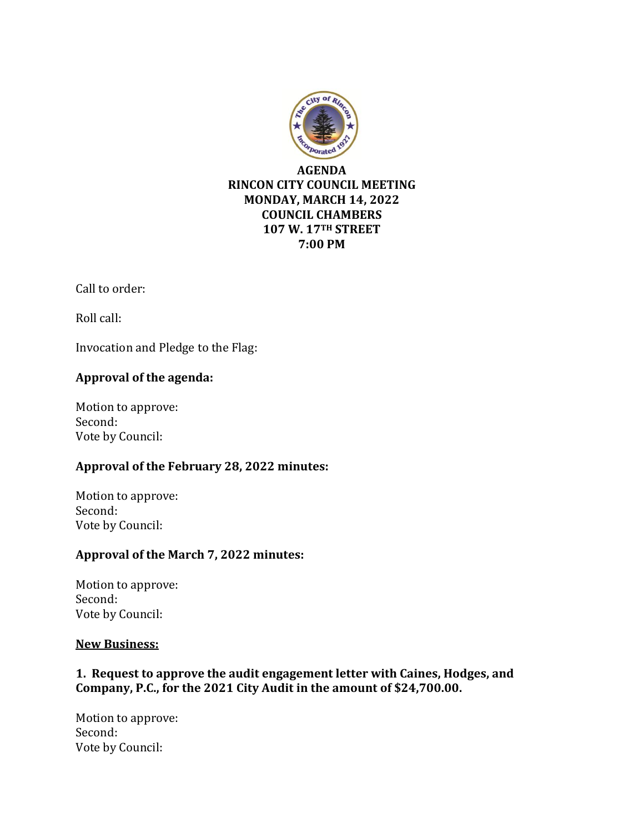

Call to order:

Roll call:

Invocation and Pledge to the Flag:

## **Approval of the agenda:**

Motion to approve: Second: Vote by Council:

## **Approval of the February 28, 2022 minutes:**

Motion to approve: Second: Vote by Council:

## **Approval of the March 7, 2022 minutes:**

Motion to approve: Second: Vote by Council:

## **New Business:**

# **1. Request to approve the audit engagement letter with Caines, Hodges, and Company, P.C., for the 2021 City Audit in the amount of \$24,700.00.**

Motion to approve: Second: Vote by Council: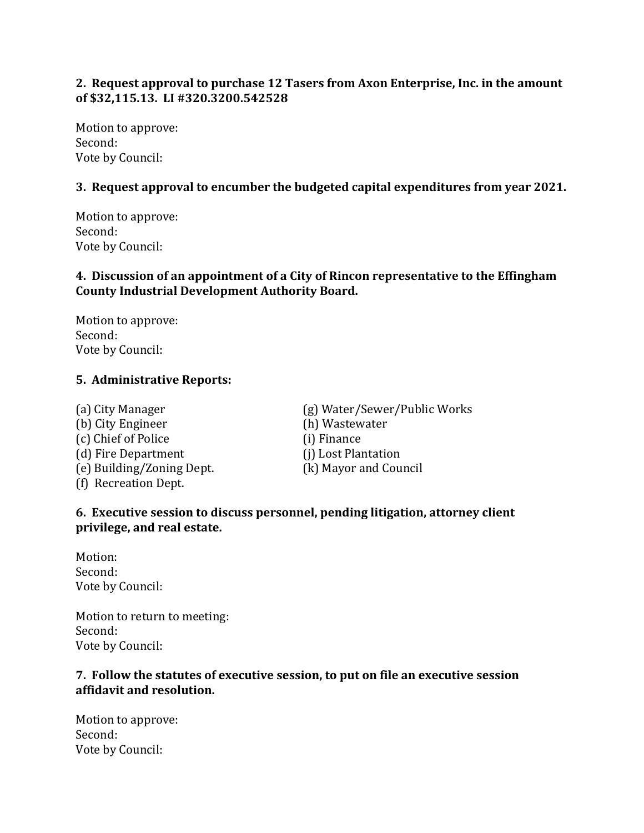## **2. Request approval to purchase 12 Tasers from Axon Enterprise, Inc. in the amount of \$32,115.13. LI #320.3200.542528**

Motion to approve: Second: Vote by Council:

## **3. Request approval to encumber the budgeted capital expenditures from year 2021.**

Motion to approve: Second: Vote by Council:

## **4. Discussion of an appointment of a City of Rincon representative to the Effingham County Industrial Development Authority Board.**

Motion to approve: Second: Vote by Council:

## **5. Administrative Reports:**

(b) City Engineer (h) Wastewater (c) Chief of Police (i) Finance (d) Fire Department (j) Lost Plantation (e) Building/Zoning Dept. (k) Mayor and Council (f) Recreation Dept.

(a) City Manager (g) Water/Sewer/Public Works

## **6. Executive session to discuss personnel, pending litigation, attorney client privilege, and real estate.**

Motion: Second: Vote by Council:

Motion to return to meeting: Second: Vote by Council:

### **7. Follow the statutes of executive session, to put on file an executive session affidavit and resolution.**

Motion to approve: Second: Vote by Council: